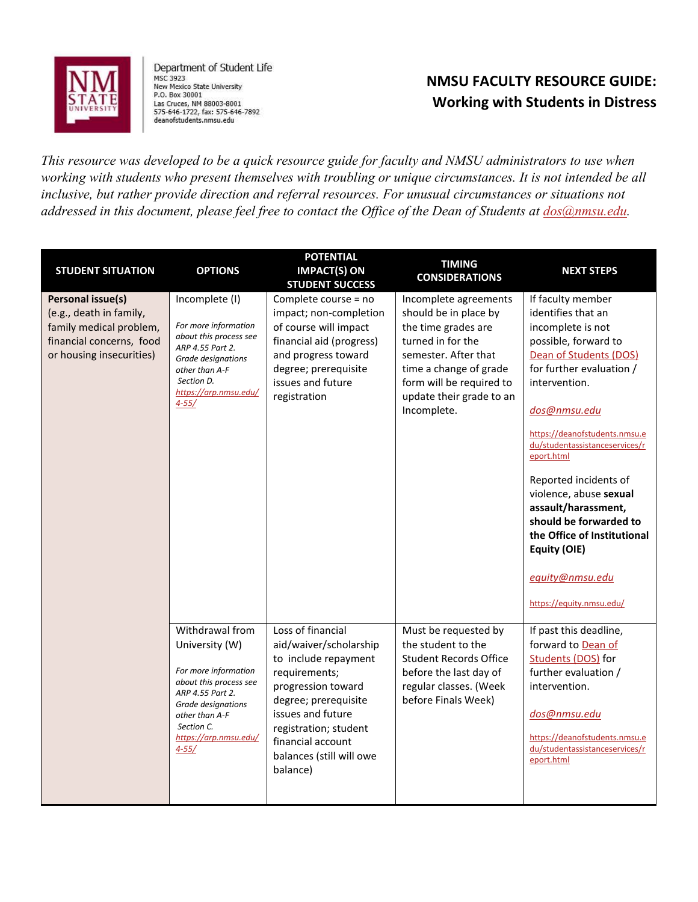

Department of Student Life MSC 3923 New Mexico State University P.O. Box 30001<br>Las Cruces, NM 88003-8001<br>575-646-1722, fax: 575-646-7892 deanofstudents.nmsu.edu

## **NMSU FACULTY RESOURCE GUIDE: Working with Students in Distress**

*This resource was developed to be a quick resource guide for faculty and NMSU administrators to use when working with students who present themselves with troubling or unique circumstances. It is not intended be all inclusive, but rather provide direction and referral resources. For unusual circumstances or situations not addressed in this document, please feel free to contact the Office of the Dean of Students at [dos@nmsu.edu.](mailto:dos@nmsu.edu)*

| <b>STUDENT SITUATION</b>                                                                                                        | <b>OPTIONS</b>                                                                                                                                                                                      | <b>POTENTIAL</b><br><b>IMPACT(S) ON</b><br><b>STUDENT SUCCESS</b>                                                                                                                                                                             | <b>TIMING</b><br><b>CONSIDERATIONS</b>                                                                                                                                                                              | <b>NEXT STEPS</b>                                                                                                                                                                                                                                                                                                                                                                                                                                              |
|---------------------------------------------------------------------------------------------------------------------------------|-----------------------------------------------------------------------------------------------------------------------------------------------------------------------------------------------------|-----------------------------------------------------------------------------------------------------------------------------------------------------------------------------------------------------------------------------------------------|---------------------------------------------------------------------------------------------------------------------------------------------------------------------------------------------------------------------|----------------------------------------------------------------------------------------------------------------------------------------------------------------------------------------------------------------------------------------------------------------------------------------------------------------------------------------------------------------------------------------------------------------------------------------------------------------|
| Personal issue(s)<br>(e.g., death in family,<br>family medical problem,<br>financial concerns, food<br>or housing insecurities) | Incomplete (I)<br>For more information<br>about this process see<br>ARP 4.55 Part 2.<br>Grade designations<br>other than A-F<br>Section D.<br>https://arp.nmsu.edu/<br>$4 - 55/$                    | Complete course = no<br>impact; non-completion<br>of course will impact<br>financial aid (progress)<br>and progress toward<br>degree; prerequisite<br>issues and future<br>registration                                                       | Incomplete agreements<br>should be in place by<br>the time grades are<br>turned in for the<br>semester. After that<br>time a change of grade<br>form will be required to<br>update their grade to an<br>Incomplete. | If faculty member<br>identifies that an<br>incomplete is not<br>possible, forward to<br>Dean of Students (DOS)<br>for further evaluation /<br>intervention.<br>dos@nmsu.edu<br>https://deanofstudents.nmsu.e<br>du/studentassistanceservices/r<br>eport.html<br>Reported incidents of<br>violence, abuse sexual<br>assault/harassment,<br>should be forwarded to<br>the Office of Institutional<br>Equity (OIE)<br>equity@nmsu.edu<br>https://equity.nmsu.edu/ |
|                                                                                                                                 | Withdrawal from<br>University (W)<br>For more information<br>about this process see<br>ARP 4.55 Part 2.<br>Grade designations<br>other than A-F<br>Section C.<br>https://arp.nmsu.edu/<br>$4 - 55/$ | Loss of financial<br>aid/waiver/scholarship<br>to include repayment<br>requirements;<br>progression toward<br>degree; prerequisite<br>issues and future<br>registration; student<br>financial account<br>balances (still will owe<br>balance) | Must be requested by<br>the student to the<br><b>Student Records Office</b><br>before the last day of<br>regular classes. (Week<br>before Finals Week)                                                              | If past this deadline,<br>forward to Dean of<br>Students (DOS) for<br>further evaluation /<br>intervention.<br>dos@nmsu.edu<br>https://deanofstudents.nmsu.e<br>du/studentassistanceservices/r<br>eport.html                                                                                                                                                                                                                                                   |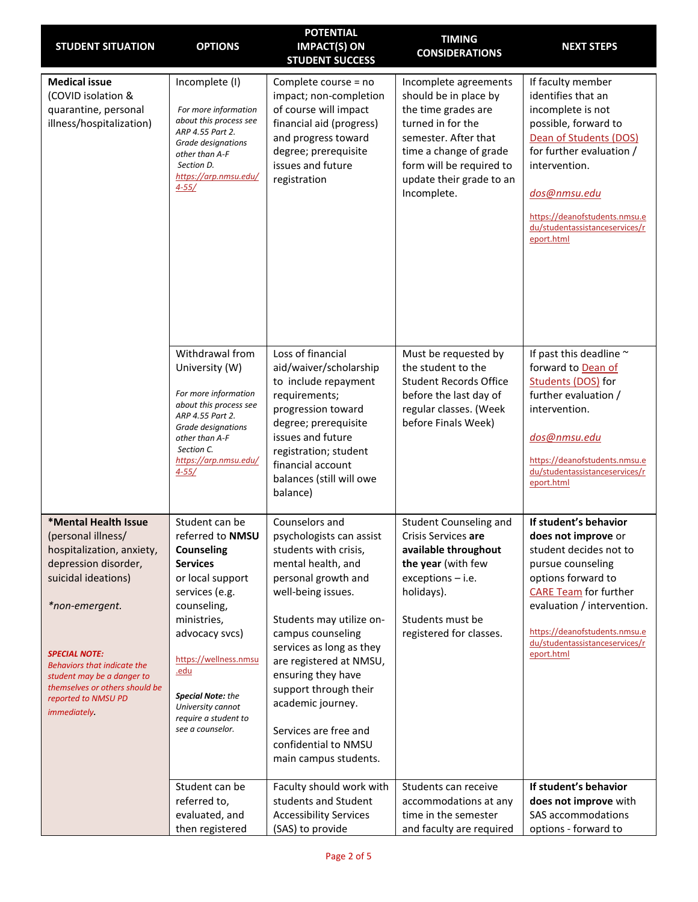| <b>STUDENT SITUATION</b>                                                                                                                                                                                                                                                                                      | <b>OPTIONS</b>                                                                                                                                                                                                                                                                                        | <b>POTENTIAL</b><br><b>IMPACT(S) ON</b><br><b>STUDENT SUCCESS</b>                                                                                                                                                                                                                                                                                                                            | <b>TIMING</b><br><b>CONSIDERATIONS</b>                                                                                                                                                                              | <b>NEXT STEPS</b>                                                                                                                                                                                                                                                |
|---------------------------------------------------------------------------------------------------------------------------------------------------------------------------------------------------------------------------------------------------------------------------------------------------------------|-------------------------------------------------------------------------------------------------------------------------------------------------------------------------------------------------------------------------------------------------------------------------------------------------------|----------------------------------------------------------------------------------------------------------------------------------------------------------------------------------------------------------------------------------------------------------------------------------------------------------------------------------------------------------------------------------------------|---------------------------------------------------------------------------------------------------------------------------------------------------------------------------------------------------------------------|------------------------------------------------------------------------------------------------------------------------------------------------------------------------------------------------------------------------------------------------------------------|
| <b>Medical issue</b><br>(COVID isolation &<br>quarantine, personal<br>illness/hospitalization)                                                                                                                                                                                                                | Incomplete (I)<br>For more information<br>about this process see<br>ARP 4.55 Part 2.<br>Grade designations<br>other than A-F<br>Section D.<br>https://arp.nmsu.edu/<br>$4 - 55/$                                                                                                                      | Complete course = no<br>impact; non-completion<br>of course will impact<br>financial aid (progress)<br>and progress toward<br>degree; prerequisite<br>issues and future<br>registration                                                                                                                                                                                                      | Incomplete agreements<br>should be in place by<br>the time grades are<br>turned in for the<br>semester. After that<br>time a change of grade<br>form will be required to<br>update their grade to an<br>Incomplete. | If faculty member<br>identifies that an<br>incomplete is not<br>possible, forward to<br>Dean of Students (DOS)<br>for further evaluation /<br>intervention.<br>dos@nmsu.edu<br>https://deanofstudents.nmsu.e<br>du/studentassistanceservices/r<br>eport.html     |
|                                                                                                                                                                                                                                                                                                               | Withdrawal from<br>University (W)<br>For more information<br>about this process see<br>ARP 4.55 Part 2.<br>Grade designations<br>other than A-F<br>Section C.<br>https://arp.nmsu.edu/<br>$4 - 55/$                                                                                                   | Loss of financial<br>aid/waiver/scholarship<br>to include repayment<br>requirements;<br>progression toward<br>degree; prerequisite<br>issues and future<br>registration; student<br>financial account<br>balances (still will owe<br>balance)                                                                                                                                                | Must be requested by<br>the student to the<br><b>Student Records Office</b><br>before the last day of<br>regular classes. (Week<br>before Finals Week)                                                              | If past this deadline ~<br>forward to Dean of<br>Students (DOS) for<br>further evaluation /<br>intervention.<br>dos@nmsu.edu<br>https://deanofstudents.nmsu.e<br>du/studentassistanceservices/r<br>eport.html                                                    |
| *Mental Health Issue<br>(personal illness/<br>hospitalization, anxiety,<br>depression disorder,<br>suicidal ideations)<br>*non-emergent.<br><b>SPECIAL NOTE:</b><br><b>Behaviors that indicate the</b><br>student may be a danger to<br>themselves or others should be<br>reported to NMSU PD<br>immediately. | Student can be<br>referred to NMSU<br><b>Counseling</b><br><b>Services</b><br>or local support<br>services (e.g.<br>counseling,<br>ministries,<br>advocacy svcs)<br>https://wellness.nmsu<br><u>.edu</u><br><b>Special Note:</b> the<br>University cannot<br>require a student to<br>see a counselor. | Counselors and<br>psychologists can assist<br>students with crisis,<br>mental health, and<br>personal growth and<br>well-being issues.<br>Students may utilize on-<br>campus counseling<br>services as long as they<br>are registered at NMSU,<br>ensuring they have<br>support through their<br>academic journey.<br>Services are free and<br>confidential to NMSU<br>main campus students. | Student Counseling and<br>Crisis Services are<br>available throughout<br>the year (with few<br>$exceptions - i.e.$<br>holidays).<br>Students must be<br>registered for classes.                                     | If student's behavior<br>does not improve or<br>student decides not to<br>pursue counseling<br>options forward to<br><b>CARE Team for further</b><br>evaluation / intervention.<br>https://deanofstudents.nmsu.e<br>du/studentassistanceservices/r<br>eport.html |
|                                                                                                                                                                                                                                                                                                               | Student can be<br>referred to,<br>evaluated, and<br>then registered                                                                                                                                                                                                                                   | Faculty should work with<br>students and Student<br><b>Accessibility Services</b><br>(SAS) to provide                                                                                                                                                                                                                                                                                        | Students can receive<br>accommodations at any<br>time in the semester<br>and faculty are required                                                                                                                   | If student's behavior<br>does not improve with<br>SAS accommodations<br>options - forward to                                                                                                                                                                     |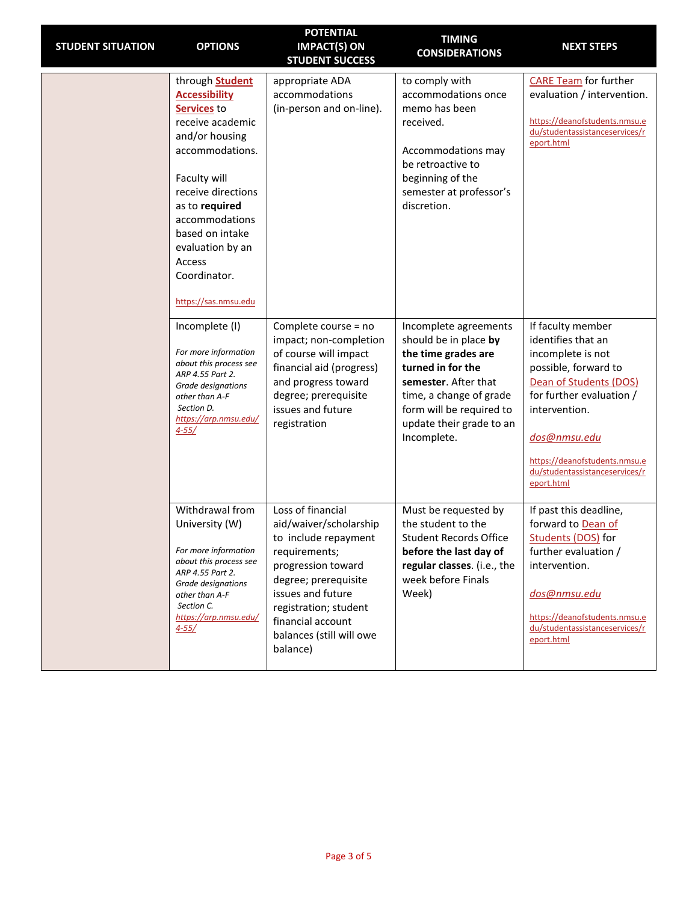| <b>STUDENT SITUATION</b> | <b>OPTIONS</b>                                                                                                                                                                                                                                                                                   | <b>POTENTIAL</b><br><b>IMPACT(S) ON</b><br><b>STUDENT SUCCESS</b>                                                                                                                                                                             | <b>TIMING</b><br><b>CONSIDERATIONS</b>                                                                                                                                                                               | <b>NEXT STEPS</b>                                                                                                                                                                                                                                            |
|--------------------------|--------------------------------------------------------------------------------------------------------------------------------------------------------------------------------------------------------------------------------------------------------------------------------------------------|-----------------------------------------------------------------------------------------------------------------------------------------------------------------------------------------------------------------------------------------------|----------------------------------------------------------------------------------------------------------------------------------------------------------------------------------------------------------------------|--------------------------------------------------------------------------------------------------------------------------------------------------------------------------------------------------------------------------------------------------------------|
|                          | through <b>Student</b><br><b>Accessibility</b><br>Services to<br>receive academic<br>and/or housing<br>accommodations.<br>Faculty will<br>receive directions<br>as to required<br>accommodations<br>based on intake<br>evaluation by an<br><b>Access</b><br>Coordinator.<br>https://sas.nmsu.edu | appropriate ADA<br>accommodations<br>(in-person and on-line).                                                                                                                                                                                 | to comply with<br>accommodations once<br>memo has been<br>received.<br>Accommodations may<br>be retroactive to<br>beginning of the<br>semester at professor's<br>discretion.                                         | <b>CARE Team</b> for further<br>evaluation / intervention.<br>https://deanofstudents.nmsu.e<br>du/studentassistanceservices/r<br>eport.html                                                                                                                  |
|                          | Incomplete (I)<br>For more information<br>about this process see<br>ARP 4.55 Part 2.<br>Grade designations<br>other than A-F<br>Section D.<br>https://arp.nmsu.edu/<br>$4 - 55/$                                                                                                                 | Complete course = no<br>impact; non-completion<br>of course will impact<br>financial aid (progress)<br>and progress toward<br>degree; prerequisite<br>issues and future<br>registration                                                       | Incomplete agreements<br>should be in place by<br>the time grades are<br>turned in for the<br>semester. After that<br>time, a change of grade<br>form will be required to<br>update their grade to an<br>Incomplete. | If faculty member<br>identifies that an<br>incomplete is not<br>possible, forward to<br>Dean of Students (DOS)<br>for further evaluation /<br>intervention.<br>dos@nmsu.edu<br>https://deanofstudents.nmsu.e<br>du/studentassistanceservices/r<br>eport.html |
|                          | Withdrawal from<br>University (W)<br>For more information<br>about this process see<br>ARP 4.55 Part 2.<br>Grade designations<br>other than A-F<br>Section C.<br>https://arp.nmsu.edu/<br>$4 - 55/$                                                                                              | Loss of financial<br>aid/waiver/scholarship<br>to include repayment<br>requirements;<br>progression toward<br>degree; prerequisite<br>issues and future<br>registration; student<br>financial account<br>balances (still will owe<br>balance) | Must be requested by<br>the student to the<br><b>Student Records Office</b><br>before the last day of<br>regular classes. (i.e., the<br>week before Finals<br>Week)                                                  | If past this deadline,<br>forward to Dean of<br>Students (DOS) for<br>further evaluation /<br>intervention.<br>dos@nmsu.edu<br>https://deanofstudents.nmsu.e<br>du/studentassistanceservices/r<br>eport.html                                                 |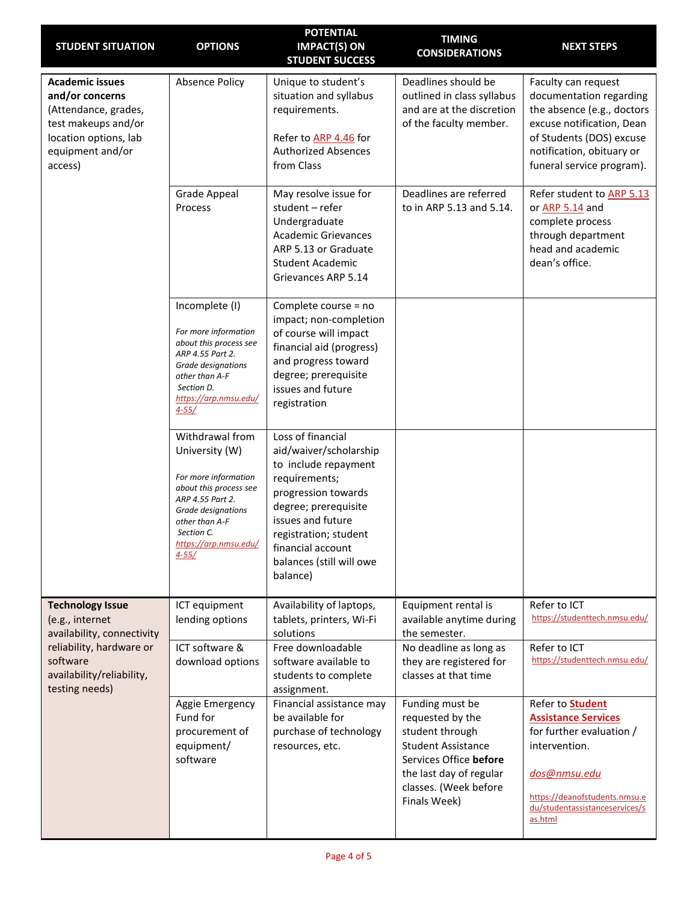| <b>STUDENT SITUATION</b>                                                                                                                         | <b>OPTIONS</b>                                                                                                                                                                                      | <b>POTENTIAL</b><br><b>IMPACT(S) ON</b><br><b>STUDENT SUCCESS</b>                                                                                                                                                                              | <b>TIMING</b><br><b>CONSIDERATIONS</b>                                                                                                                                            | <b>NEXT STEPS</b>                                                                                                                                                                                |
|--------------------------------------------------------------------------------------------------------------------------------------------------|-----------------------------------------------------------------------------------------------------------------------------------------------------------------------------------------------------|------------------------------------------------------------------------------------------------------------------------------------------------------------------------------------------------------------------------------------------------|-----------------------------------------------------------------------------------------------------------------------------------------------------------------------------------|--------------------------------------------------------------------------------------------------------------------------------------------------------------------------------------------------|
| <b>Academic issues</b><br>and/or concerns<br>(Attendance, grades,<br>test makeups and/or<br>location options, lab<br>equipment and/or<br>access) | <b>Absence Policy</b>                                                                                                                                                                               | Unique to student's<br>situation and syllabus<br>requirements.<br>Refer to ARP 4.46 for<br><b>Authorized Absences</b><br>from Class                                                                                                            | Deadlines should be<br>outlined in class syllabus<br>and are at the discretion<br>of the faculty member.                                                                          | Faculty can request<br>documentation regarding<br>the absence (e.g., doctors<br>excuse notification, Dean<br>of Students (DOS) excuse<br>notification, obituary or<br>funeral service program).  |
|                                                                                                                                                  | <b>Grade Appeal</b><br>Process                                                                                                                                                                      | May resolve issue for<br>student - refer<br>Undergraduate<br><b>Academic Grievances</b><br>ARP 5.13 or Graduate<br><b>Student Academic</b><br>Grievances ARP 5.14                                                                              | Deadlines are referred<br>to in ARP 5.13 and 5.14.                                                                                                                                | Refer student to ARP 5.13<br>or ARP 5.14 and<br>complete process<br>through department<br>head and academic<br>dean's office.                                                                    |
|                                                                                                                                                  | Incomplete (I)<br>For more information<br>about this process see<br>ARP 4.55 Part 2.<br>Grade designations<br>other than A-F<br>Section D.<br>https://arp.nmsu.edu/<br>$4 - 55/$                    | Complete course = no<br>impact; non-completion<br>of course will impact<br>financial aid (progress)<br>and progress toward<br>degree; prerequisite<br>issues and future<br>registration                                                        |                                                                                                                                                                                   |                                                                                                                                                                                                  |
|                                                                                                                                                  | Withdrawal from<br>University (W)<br>For more information<br>about this process see<br>ARP 4.55 Part 2.<br>Grade designations<br>other than A-F<br>Section C.<br>https://arp.nmsu.edu/<br>$4 - 55/$ | Loss of financial<br>aid/waiver/scholarship<br>to include repayment<br>requirements;<br>progression towards<br>degree; prerequisite<br>issues and future<br>registration; student<br>financial account<br>balances (still will owe<br>balance) |                                                                                                                                                                                   |                                                                                                                                                                                                  |
| <b>Technology Issue</b><br>(e.g., internet<br>availability, connectivity                                                                         | ICT equipment<br>lending options                                                                                                                                                                    | Availability of laptops,<br>tablets, printers, Wi-Fi<br>solutions                                                                                                                                                                              | Equipment rental is<br>available anytime during<br>the semester.                                                                                                                  | Refer to ICT<br>https://studenttech.nmsu.edu/                                                                                                                                                    |
| reliability, hardware or<br>software<br>availability/reliability,<br>testing needs)                                                              | ICT software &<br>download options                                                                                                                                                                  | Free downloadable<br>software available to<br>students to complete<br>assignment.                                                                                                                                                              | No deadline as long as<br>they are registered for<br>classes at that time                                                                                                         | Refer to ICT<br>https://studenttech.nmsu.edu/                                                                                                                                                    |
|                                                                                                                                                  | Aggie Emergency<br>Fund for<br>procurement of<br>equipment/<br>software                                                                                                                             | Financial assistance may<br>be available for<br>purchase of technology<br>resources, etc.                                                                                                                                                      | Funding must be<br>requested by the<br>student through<br><b>Student Assistance</b><br>Services Office before<br>the last day of regular<br>classes. (Week before<br>Finals Week) | Refer to <b>Student</b><br><b>Assistance Services</b><br>for further evaluation /<br>intervention.<br>dos@nmsu.edu<br>https://deanofstudents.nmsu.e<br>du/studentassistanceservices/s<br>as.html |